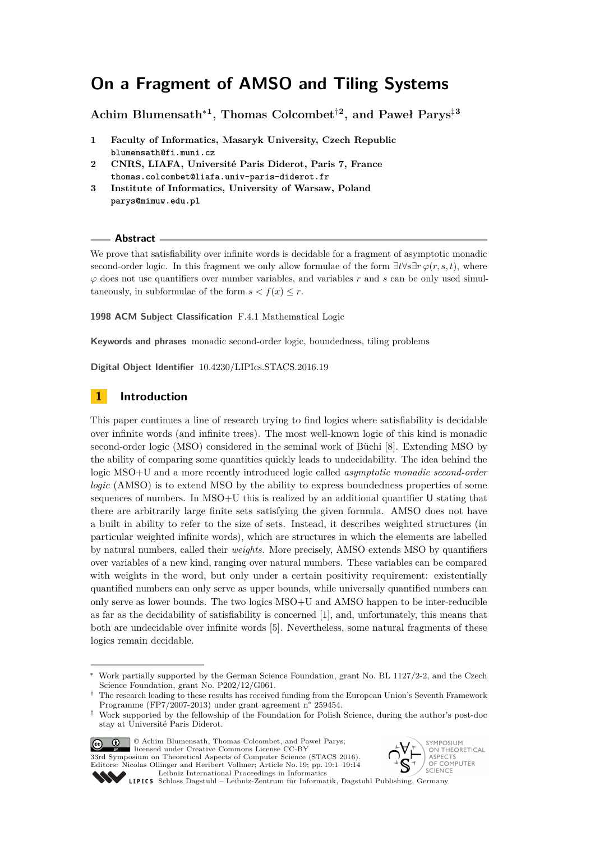# **On a Fragment of AMSO and Tiling Systems**

**Achim Blumensath**<sup>∗</sup>**<sup>1</sup> , Thomas Colcombet**†**<sup>2</sup> , and Paweł Parys**‡**<sup>3</sup>**

- **1 Faculty of Informatics, Masaryk University, Czech Republic blumensath@fi.muni.cz**
- **2 CNRS, LIAFA, Université Paris Diderot, Paris 7, France thomas.colcombet@liafa.univ-paris-diderot.fr**
- **3 Institute of Informatics, University of Warsaw, Poland parys@mimuw.edu.pl**

#### **Abstract**

We prove that satisfiability over infinite words is decidable for a fragment of asymptotic monadic second-order logic. In this fragment we only allow formulae of the form  $\exists t \forall s \exists r \varphi(r, s, t)$ , where  $\varphi$  does not use quantifiers over number variables, and variables  $r$  and  $s$  can be only used simultaneously, in subformulae of the form  $s < f(x) \leq r$ .

**1998 ACM Subject Classification** F.4.1 Mathematical Logic

**Keywords and phrases** monadic second-order logic, boundedness, tiling problems

**Digital Object Identifier** [10.4230/LIPIcs.STACS.2016.19](http://dx.doi.org/10.4230/LIPIcs.STACS.2016.19)

## **1 Introduction**

This paper continues a line of research trying to find logics where satisfiability is decidable over infinite words (and infinite trees). The most well-known logic of this kind is monadic second-order logic (MSO) considered in the seminal work of Büchi [\[8\]](#page-12-0). Extending MSO by the ability of comparing some quantities quickly leads to undecidability. The idea behind the logic MSO+U and a more recently introduced logic called *asymptotic monadic second-order logic* (AMSO) is to extend MSO by the ability to express boundedness properties of some sequences of numbers. In MSO+U this is realized by an additional quantifier U stating that there are arbitrarily large finite sets satisfying the given formula. AMSO does not have a built in ability to refer to the size of sets. Instead, it describes weighted structures (in particular weighted infinite words), which are structures in which the elements are labelled by natural numbers, called their *weights.* More precisely, AMSO extends MSO by quantifiers over variables of a new kind, ranging over natural numbers. These variables can be compared with weights in the word, but only under a certain positivity requirement: existentially quantified numbers can only serve as upper bounds, while universally quantified numbers can only serve as lower bounds. The two logics MSO+U and AMSO happen to be inter-reducible as far as the decidability of satisfiability is concerned [\[1\]](#page-12-1), and, unfortunately, this means that both are undecidable over infinite words [\[5\]](#page-12-2). Nevertheless, some natural fragments of these logics remain decidable.

<sup>‡</sup> Work supported by the fellowship of the Foundation for Polish Science, during the author's post-doc stay at Université Paris Diderot.



© Achim Blumensath, Thomas Colcombet, and Paweł Parys; licensed under Creative Commons License CC-BY 33rd Symposium on Theoretical Aspects of Computer Science (STACS 2016).

Editors: Nicolas Ollinger and Heribert Vollmer; Article No. 19; pp. 19:1–19[:14](#page-13-0) [Leibniz International Proceedings in Informatics](http://www.dagstuhl.de/lipics/)



Leibniz international Froceedings in informatik, Dagstuhl Publishing, Germany<br>LIPICS [Schloss Dagstuhl – Leibniz-Zentrum für Informatik, Dagstuhl Publishing, Germany](http://www.dagstuhl.de)

<sup>∗</sup> Work partially supported by the German Science Foundation, grant No. BL 1127/2-2, and the Czech Science Foundation, grant No. P202/12/G061.

<sup>†</sup> The research leading to these results has received funding from the European Union's Seventh Framework Programme (FP7/2007-2013) under grant agreement n° 259454.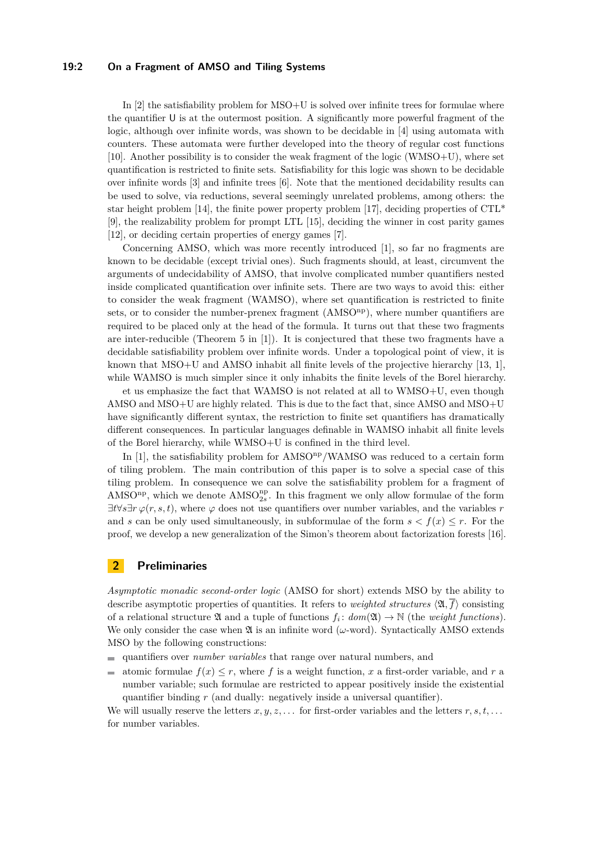#### **19:2 On a Fragment of AMSO and Tiling Systems**

In  $[2]$  the satisfiability problem for  $MSO+U$  is solved over infinite trees for formulae where the quantifier U is at the outermost position. A significantly more powerful fragment of the logic, although over infinite words, was shown to be decidable in [\[4\]](#page-12-4) using automata with counters. These automata were further developed into the theory of regular cost functions [\[10\]](#page-12-5). Another possibility is to consider the weak fragment of the logic (WMSO+U), where set quantification is restricted to finite sets. Satisfiability for this logic was shown to be decidable over infinite words [\[3\]](#page-12-6) and infinite trees [\[6\]](#page-12-7). Note that the mentioned decidability results can be used to solve, via reductions, several seemingly unrelated problems, among others: the star height problem [\[14\]](#page-13-1), the finite power property problem [\[17\]](#page-13-2), deciding properties of  $\text{CTL}^*$ [\[9\]](#page-12-8), the realizability problem for prompt LTL [\[15\]](#page-13-3), deciding the winner in cost parity games [\[12\]](#page-12-9), or deciding certain properties of energy games [\[7\]](#page-12-10).

Concerning AMSO, which was more recently introduced [\[1\]](#page-12-1), so far no fragments are known to be decidable (except trivial ones). Such fragments should, at least, circumvent the arguments of undecidability of AMSO, that involve complicated number quantifiers nested inside complicated quantification over infinite sets. There are two ways to avoid this: either to consider the weak fragment (WAMSO), where set quantification is restricted to finite sets, or to consider the number-prenex fragment (AMSO<sup>np</sup>), where number quantifiers are required to be placed only at the head of the formula. It turns out that these two fragments are inter-reducible (Theorem 5 in [\[1\]](#page-12-1)). It is conjectured that these two fragments have a decidable satisfiability problem over infinite words. Under a topological point of view, it is known that MSO+U and AMSO inhabit all finite levels of the projective hierarchy [\[13,](#page-12-11) [1\]](#page-12-1), while WAMSO is much simpler since it only inhabits the finite levels of the Borel hierarchy.

et us emphasize the fact that WAMSO is not related at all to WMSO+U, even though AMSO and MSO+U are highly related. This is due to the fact that, since AMSO and MSO+U have significantly different syntax, the restriction to finite set quantifiers has dramatically different consequences. In particular languages definable in WAMSO inhabit all finite levels of the Borel hierarchy, while WMSO+U is confined in the third level.

In [\[1\]](#page-12-1), the satisfiability problem for  $AMSO<sup>np</sup>/WAMSO$  was reduced to a certain form of tiling problem. The main contribution of this paper is to solve a special case of this tiling problem. In consequence we can solve the satisfiability problem for a fragment of AMSO<sup>np</sup>, which we denote  $AMSO_{2s}^{np}$ . In this fragment we only allow formulae of the form  $\exists t \forall s \exists r \varphi(r, s, t)$ , where  $\varphi$  does not use quantifiers over number variables, and the variables *r* and *s* can be only used simultaneously, in subformulae of the form  $s < f(x) \leq r$ . For the proof, we develop a new generalization of the Simon's theorem about factorization forests [\[16\]](#page-13-4).

## **2 Preliminaries**

*Asymptotic monadic second-order logic* (AMSO for short) extends MSO by the ability to describe asymptotic properties of quantities. It refers to *weighted structures*  $\langle \mathfrak{A}, \overline{f} \rangle$  consisting of a relational structure  $\mathfrak A$  and a tuple of functions  $f_i: dom(\mathfrak A) \to \mathbb N$  (the *weight functions*). We only consider the case when  $\mathfrak A$  is an infinite word ( $\omega$ -word). Syntactically AMSO extends MSO by the following constructions:

- quantifiers over *number variables* that range over natural numbers, and
- atomic formulae  $f(x) \leq r$ , where f is a weight function, x a first-order variable, and r a  $\overline{\phantom{a}}$ number variable; such formulae are restricted to appear positively inside the existential quantifier binding *r* (and dually: negatively inside a universal quantifier).

We will usually reserve the letters  $x, y, z, \ldots$  for first-order variables and the letters  $r, s, t, \ldots$ for number variables.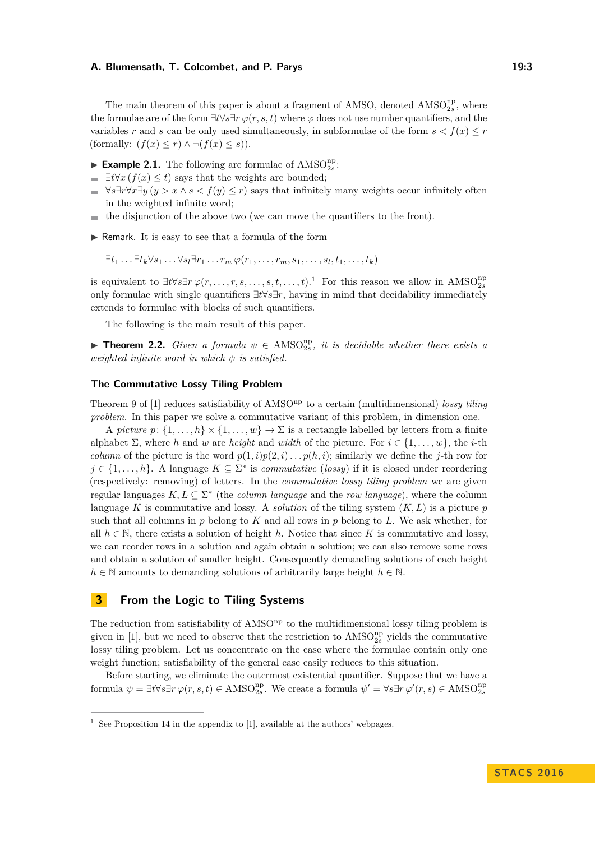#### **A. Blumensath, T. Colcombet, and P. Parys 19:3** 19:3

The main theorem of this paper is about a fragment of AMSO, denoted  $AMSO_{2s}^{np}$ , where the formulae are of the form  $\exists t \forall s \exists r \varphi(r, s, t)$  where  $\varphi$  does not use number quantifiers, and the variables *r* and *s* can be only used simultaneously, in subformulae of the form  $s < f(x) \leq r$ (formally:  $(f(x) \leq r) \land \neg(f(x) \leq s)$ ).

- $\blacktriangleright$  **Example 2.1.** The following are formulae of AMSO<sub>2s</sub>:
- $\exists t \forall x (f(x) \leq t)$  says that the weights are bounded;  $\blacksquare$
- $\forall s \exists r \forall x \exists y (y > x \land s < f(y) \leq r)$  says that infinitely many weights occur infinitely often  $\blacksquare$ in the weighted infinite word;
- the disjunction of the above two (we can move the quantifiers to the front).  $\equiv$
- $\blacktriangleright$  Remark. It is easy to see that a formula of the form

 $\exists t_1 \ldots \exists t_k \forall s_1 \ldots \forall s_l \exists r_1 \ldots r_m \, \varphi(r_1, \ldots, r_m, s_1, \ldots, s_l, t_1, \ldots, t_k)$ 

is equivalent to  $\exists t \forall s \exists r \varphi(r, \ldots, r, s, \ldots, s, t, \ldots, t)$ .<sup>[1](#page-2-0)</sup> For this reason we allow in AMSO<sup>np</sup><sub>2s</sub> only formulae with single quantifiers ∃*t*∀*s*∃*r*, having in mind that decidability immediately extends to formulae with blocks of such quantifiers.

The following is the main result of this paper.

**Theorem 2.2.** *Given a formula*  $\psi \in \text{AMSO}_{2s}^{\text{np}}$ , *it is decidable whether there exists a weighted infinite word in which ψ is satisfied.*

#### **The Commutative Lossy Tiling Problem**

Theorem 9 of [\[1\]](#page-12-1) reduces satisfiability of AMSO<sup>np</sup> to a certain (multidimensional) *lossy tiling problem*. In this paper we solve a commutative variant of this problem, in dimension one.

A *picture*  $p: \{1, \ldots, h\} \times \{1, \ldots, w\} \to \Sigma$  is a rectangle labelled by letters from a finite alphabet  $\Sigma$ , where *h* and *w* are *height* and *width* of the picture. For  $i \in \{1, \ldots, w\}$ , the *i*-th *column* of the picture is the word  $p(1, i)p(2, i)$ ...  $p(h, i)$ ; similarly we define the *j*-th row for *j* ∈ {1,..., *h*}. A language  $K ⊆ \Sigma^*$  is *commutative* (*lossy*) if it is closed under reordering (respectively: removing) of letters. In the *commutative lossy tiling problem* we are given regular languages  $K, L \subseteq \Sigma^*$  (the *column language* and the *row language*), where the column language *K* is commutative and lossy. A *solution* of the tiling system (*K, L*) is a picture *p* such that all columns in *p* belong to *K* and all rows in *p* belong to *L*. We ask whether, for all  $h \in \mathbb{N}$ , there exists a solution of height h. Notice that since K is commutative and lossy, we can reorder rows in a solution and again obtain a solution; we can also remove some rows and obtain a solution of smaller height. Consequently demanding solutions of each height  $h \in \mathbb{N}$  amounts to demanding solutions of arbitrarily large height  $h \in \mathbb{N}$ .

## **3 From the Logic to Tiling Systems**

The reduction from satisfiability of AMSO<sup>np</sup> to the multidimensional lossy tiling problem is given in [\[1\]](#page-12-1), but we need to observe that the restriction to  $AMSO_{2s}^{np}$  yields the commutative lossy tiling problem. Let us concentrate on the case where the formulae contain only one weight function; satisfiability of the general case easily reduces to this situation.

Before starting, we eliminate the outermost existential quantifier. Suppose that we have a formula  $\psi = \exists t \forall s \exists r \varphi(r, s, t) \in \text{AMSO}_{2s}^{\text{np}}$ . We create a formula  $\psi' = \forall s \exists r \varphi'(r, s) \in \text{AMSO}_{2s}^{\text{np}}$ 

<span id="page-2-0"></span>See Proposition 14 in the appendix to [\[1\]](#page-12-1), available at the authors' webpages.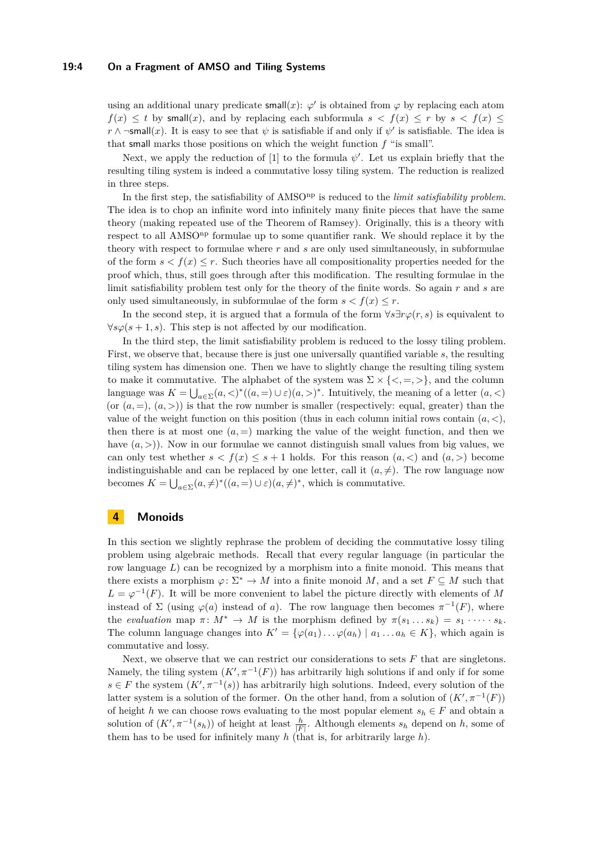#### **19:4 On a Fragment of AMSO and Tiling Systems**

using an additional unary predicate small $(x)$ :  $\varphi'$  is obtained from  $\varphi$  by replacing each atom  $f(x) \leq t$  by small(*x*), and by replacing each subformula  $s < f(x) \leq r$  by  $s < f(x) \leq$  $r \wedge \neg \mathsf{small}(x)$ . It is easy to see that  $\psi$  is satisfiable if and only if  $\psi'$  is satisfiable. The idea is that small marks those positions on which the weight function *f* "is small".

Next, we apply the reduction of [\[1\]](#page-12-1) to the formula  $\psi'$ . Let us explain briefly that the resulting tiling system is indeed a commutative lossy tiling system. The reduction is realized in three steps.

In the first step, the satisfiability of AMSO<sup>np</sup> is reduced to the *limit satisfiability problem*. The idea is to chop an infinite word into infinitely many finite pieces that have the same theory (making repeated use of the Theorem of Ramsey). Originally, this is a theory with respect to all AMSO<sup>np</sup> formulae up to some quantifier rank. We should replace it by the theory with respect to formulae where *r* and *s* are only used simultaneously, in subformulae of the form  $s < f(x) \leq r$ . Such theories have all compositionality properties needed for the proof which, thus, still goes through after this modification. The resulting formulae in the limit satisfiability problem test only for the theory of the finite words. So again *r* and *s* are only used simultaneously, in subformulae of the form  $s < f(x) \leq r$ .

In the second step, it is argued that a formula of the form  $\forall s \exists r \varphi(r, s)$  is equivalent to  $\forall s\varphi(s+1,s)$ . This step is not affected by our modification.

In the third step, the limit satisfiability problem is reduced to the lossy tiling problem. First, we observe that, because there is just one universally quantified variable *s*, the resulting tiling system has dimension one. Then we have to slightly change the resulting tiling system to make it commutative. The alphabet of the system was  $\Sigma \times \{<, =, >\}$ , and the column language was  $K = \bigcup_{a \in \Sigma} (a, \leq)^*(a, \geq) \cup \varepsilon(a, \geq)^*$ . Intuitively, the meaning of a letter  $(a, \leq)$ (or  $(a, =), (a, >)$ ) is that the row number is smaller (respectively: equal, greater) than the value of the weight function on this position (thus in each column initial rows contain  $(a, <)$ , then there is at most one  $(a, =)$  marking the value of the weight function, and then we have  $(a, >)$ ). Now in our formulae we cannot distinguish small values from big values, we can only test whether  $s < f(x) \leq s + 1$  holds. For this reason  $(a, \leq)$  and  $(a, >)$  become indistinguishable and can be replaced by one letter, call it  $(a, \neq)$ . The row language now becomes  $K = \bigcup_{a \in \Sigma} (a, \neq)^* ((a, =) \cup \varepsilon)(a, \neq)^*$ , which is commutative.

## **4 Monoids**

In this section we slightly rephrase the problem of deciding the commutative lossy tiling problem using algebraic methods. Recall that every regular language (in particular the row language *L*) can be recognized by a morphism into a finite monoid. This means that there exists a morphism  $\varphi \colon \Sigma^* \to M$  into a finite monoid M, and a set  $F \subseteq M$  such that  $L = \varphi^{-1}(F)$ . It will be more convenient to label the picture directly with elements of *M* instead of  $\Sigma$  (using  $\varphi(a)$  instead of *a*). The row language then becomes  $\pi^{-1}(F)$ , where the *evaluation* map  $\pi \colon M^* \to M$  is the morphism defined by  $\pi(s_1 \dots s_k) = s_1 \cdot \dots \cdot s_k$ . The column language changes into  $K' = {\varphi(a_1) \dots \varphi(a_h) | a_1 \dots a_h \in K}$ , which again is commutative and lossy.

Next, we observe that we can restrict our considerations to sets *F* that are singletons. Namely, the tiling system  $(K', \pi^{-1}(F))$  has arbitrarily high solutions if and only if for some *s* ∈ *F* the system  $(K', \pi^{-1}(s))$  has arbitrarily high solutions. Indeed, every solution of the latter system is a solution of the former. On the other hand, from a solution of  $(K', \pi^{-1}(F))$ of height *h* we can choose rows evaluating to the most popular element  $s_h \in F$  and obtain a solution of  $(K', \pi^{-1}(s_h))$  of height at least  $\frac{h}{|F|}$ . Although elements  $s_h$  depend on  $h$ , some of them has to be used for infinitely many *h* (that is, for arbitrarily large *h*).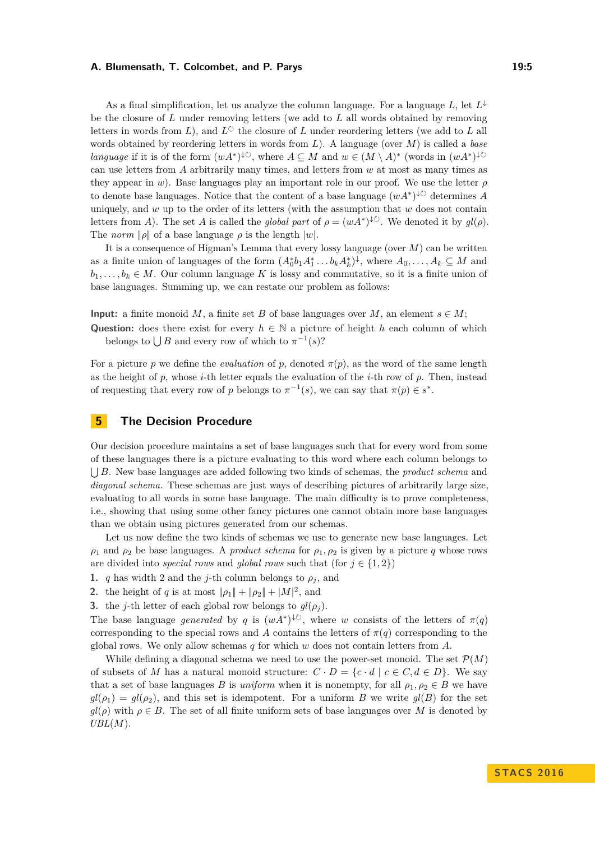#### **A. Blumensath, T. Colcombet, and P. Parys 19:5** 19:5

As a final simplification, let us analyze the column language. For a language  $L$ , let  $L^{\downarrow}$ be the closure of *L* under removing letters (we add to *L* all words obtained by removing letters in words from *L*), and  $L^{\circlearrowright}$  the closure of *L* under reordering letters (we add to *L* all words obtained by reordering letters in words from *L*). A language (over *M*) is called a *base language* if it is of the form  $(wA^*)^{\downarrow \circlearrowright}$ , where  $A \subseteq M$  and  $w \in (M \setminus A)^*$  (words in  $(wA^*)^{\downarrow \circlearrowright}$ can use letters from *A* arbitrarily many times, and letters from *w* at most as many times as they appear in *w*). Base languages play an important role in our proof. We use the letter *ρ* to denote base languages. Notice that the content of a base language  $(wA^*)^{\downarrow\circlearrowright}$  determines A uniquely, and *w* up to the order of its letters (with the assumption that *w* does not contain letters from *A*). The set *A* is called the *global part* of  $\rho = (wA^*)^{\downarrow \circlearrowright}$ . We denoted it by  $gl(\rho)$ . The *norm*  $|\rho|$  of a base language  $\rho$  is the length  $|w|$ .

It is a consequence of Higman's Lemma that every lossy language (over *M*) can be written as a finite union of languages of the form  $(A_0^*b_1A_1^*\ldots b_kA_k^*)^{\downarrow}$ , where  $A_0,\ldots,A_k\subseteq M$  and  $b_1, \ldots, b_k \in M$ . Our column language K is lossy and commutative, so it is a finite union of base languages. Summing up, we can restate our problem as follows:

**Input:** a finite monoid *M*, a finite set *B* of base languages over *M*, an element  $s \in M$ ;

**Question:** does there exist for every  $h \in \mathbb{N}$  a picture of height *h* each column of which belongs to  $\bigcup B$  and every row of which to  $\pi^{-1}(s)$ ?

For a picture *p* we define the *evaluation* of *p*, denoted  $\pi(p)$ , as the word of the same length as the height of  $p$ , whose  $i$ -th letter equals the evaluation of the  $i$ -th row of  $p$ . Then, instead of requesting that every row of *p* belongs to  $\pi^{-1}(s)$ , we can say that  $\pi(p) \in s^*$ .

## **5 The Decision Procedure**

Our decision procedure maintains a set of base languages such that for every word from some of these languages there is a picture evaluating to this word where each column belongs to S *B*. New base languages are added following two kinds of schemas, the *product schema* and *diagonal schema.* These schemas are just ways of describing pictures of arbitrarily large size, evaluating to all words in some base language. The main difficulty is to prove completeness, i.e., showing that using some other fancy pictures one cannot obtain more base languages than we obtain using pictures generated from our schemas.

Let us now define the two kinds of schemas we use to generate new base languages. Let  $\rho_1$  and  $\rho_2$  be base languages. A *product schema* for  $\rho_1$ ,  $\rho_2$  is given by a picture *q* whose rows are divided into *special rows* and *global rows* such that (for  $j \in \{1, 2\}$ )

- **1.** *q* has width 2 and the *j*-th column belongs to  $\rho_j$ , and
- **2.** the height of *q* is at most  $\|\rho_1\| + \|\rho_2\| + |M|^2$ , and
- **3.** the *j*-th letter of each global row belongs to  $gl(\rho_i)$ .

The base language *generated* by *q* is  $(wA^*)^{\downarrow\circlearrowright}$ , where *w* consists of the letters of  $\pi(q)$ corresponding to the special rows and *A* contains the letters of  $\pi(q)$  corresponding to the global rows. We only allow schemas *q* for which *w* does not contain letters from *A*.

While defining a diagonal schema we need to use the power-set monoid. The set  $\mathcal{P}(M)$ of subsets of *M* has a natural monoid structure:  $C \cdot D = \{c \cdot d \mid c \in C, d \in D\}$ . We say that a set of base languages *B* is *uniform* when it is nonempty, for all  $\rho_1, \rho_2 \in B$  we have  $gl(\rho_1) = gl(\rho_2)$ , and this set is idempotent. For a uniform *B* we write  $gl(B)$  for the set  $gl(\rho)$  with  $\rho \in B$ . The set of all finite uniform sets of base languages over *M* is denoted by *UBL*(*M*).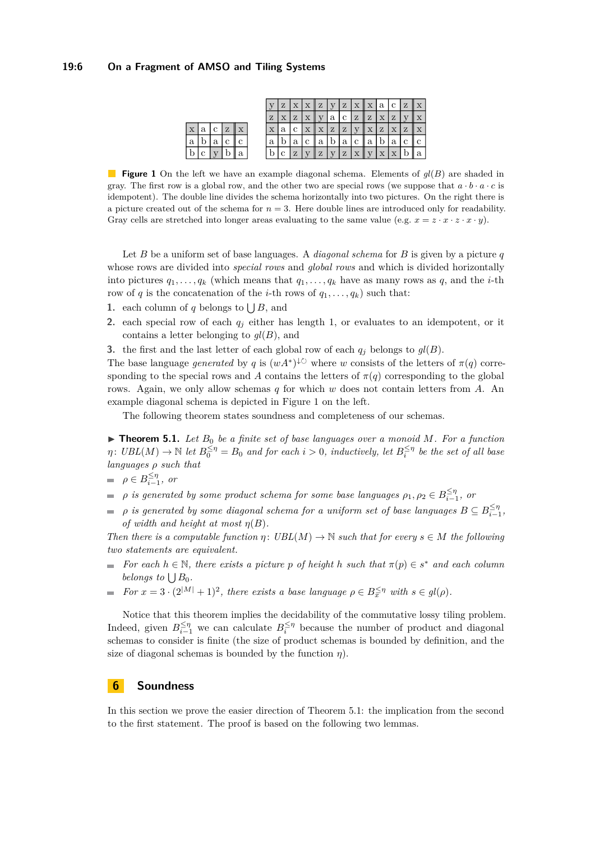#### <span id="page-5-0"></span>**19:6 On a Fragment of AMSO and Tiling Systems**

|             |   |   |   |                |   | Ζ |   | $\mathbf X$ | $\mathbb{I}Z$ | $\overline{V}$ | Z | $\mathbf x$ | $\mathbf{x}$ | ' a | $\mathbf c$ | Z | $\mathbb{I} \times$ |
|-------------|---|---|---|----------------|---|---|---|-------------|---------------|----------------|---|-------------|--------------|-----|-------------|---|---------------------|
|             |   |   |   |                | Z |   | Ζ |             |               | a              | с | Z           | Z            | Х   | Z           |   |                     |
| $\mathbf x$ | a | c | Z | $\overline{X}$ | х | а | с |             | $\mathbf x$   | Z              | Z |             |              | Z   | $\mathbf x$ | Z |                     |
| $\mathbf a$ |   | a |   | с              | а |   | a |             | a             | D              | a | с           | a            | υ   | a           |   | с                   |
| b           | Ċ |   |   | a              |   |   | Z |             | Z             |                | Z |             | Ш            |     | $\mathbf x$ |   | a                   |

**Figure 1** On the left we have an example diagonal schema. Elements of *gl*(*B*) are shaded in gray. The first row is a global row, and the other two are special rows (we suppose that  $a \cdot b \cdot a \cdot c$  is idempotent). The double line divides the schema horizontally into two pictures. On the right there is a picture created out of the schema for  $n = 3$ . Here double lines are introduced only for readability. Gray cells are stretched into longer areas evaluating to the same value (e.g.  $x = z \cdot x \cdot x \cdot y$ ).

Let *B* be a uniform set of base languages. A *diagonal schema* for *B* is given by a picture *q* whose rows are divided into *special rows* and *global rows* and which is divided horizontally into pictures  $q_1, \ldots, q_k$  (which means that  $q_1, \ldots, q_k$  have as many rows as  $q$ , and the *i*-th row of *q* is the concatenation of the *i*-th rows of  $q_1, \ldots, q_k$  such that:

- **1.** each column of *q* belongs to  $\bigcup B$ , and
- **2.** each special row of each *q<sup>j</sup>* either has length 1, or evaluates to an idempotent, or it contains a letter belonging to *gl*(*B*), and

**3.** the first and the last letter of each global row of each  $q_i$  belongs to  $gl(B)$ .

The base language *generated* by *q* is  $(wA^*)^{\downarrow \circlearrowright}$  where *w* consists of the letters of  $\pi(q)$  corresponding to the special rows and *A* contains the letters of  $\pi(q)$  corresponding to the global rows. Again, we only allow schemas *q* for which *w* does not contain letters from *A*. An example diagonal schema is depicted in Figure [1](#page-5-0) on the left.

The following theorem states soundness and completeness of our schemas.

<span id="page-5-1"></span> $\triangleright$  **Theorem 5.1.** Let  $B_0$  be a finite set of base languages over a monoid M. For a function  $\eta$ :  $UBL(M) \rightarrow \mathbb{N}$  *let*  $B_0^{\leq \eta} = B_0$  *and for each*  $i > 0$ *, inductively, let*  $B_i^{\leq \eta}$  *be the set of all base languages ρ such that*

$$
\qquad \qquad =\;\; \rho \in B^{\leq \eta}_{i-1}, \; \textit{or} \;
$$

- *ρ is generated by some product schema for some base languages*  $\rho_1, \rho_2 \in B_{i-1}^{\leq \eta}$ , or
- $\rho$  *is generated by some diagonal schema for a uniform set of base languages*  $B \subseteq B_{i-1}^{\leq \eta}$  $\equiv$ *of width and height at most*  $\eta(B)$ *.*

*Then there is a computable function*  $\eta$ :  $UBL(M) \to \mathbb{N}$  *such that for every*  $s \in M$  *the following two statements are equivalent.*

- *For each*  $h \in \mathbb{N}$ , there exists a picture p of height  $h$  such that  $\pi(p) \in s^*$  and each column  $\blacksquare$ *belongs to*  $\bigcup B_0$ *.*
- *For*  $x = 3 \cdot (2^{|M|} + 1)^2$ , there exists a base language  $\rho \in B_x^{\leq \eta}$  with  $s \in gl(\rho)$ .  $\blacksquare$

Notice that this theorem implies the decidability of the commutative lossy tiling problem. Indeed, given  $B_{i-1}^{\leq \eta}$  we can calculate  $B_i^{\leq \eta}$  because the number of product and diagonal schemas to consider is finite (the size of product schemas is bounded by definition, and the size of diagonal schemas is bounded by the function *η*).

## **6 Soundness**

In this section we prove the easier direction of Theorem [5.1:](#page-5-1) the implication from the second to the first statement. The proof is based on the following two lemmas.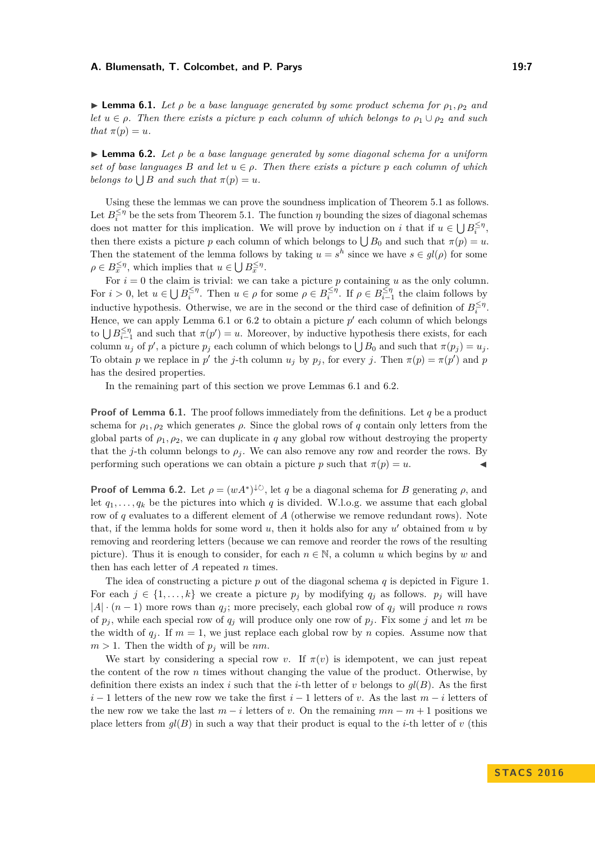#### **A. Blumensath, T. Colcombet, and P. Parys 19:7** 19:7

<span id="page-6-0"></span>**I Lemma 6.1.** Let  $\rho$  be a base language generated by some product schema for  $\rho_1, \rho_2$  and *let*  $u \in \rho$ . Then there exists a picture p each column of which belongs to  $\rho_1 \cup \rho_2$  and such *that*  $\pi(p) = u$ *.* 

<span id="page-6-1"></span>I **Lemma 6.2.** *Let ρ be a base language generated by some diagonal schema for a uniform set of base languages B and let*  $u \in \rho$ *. Then there exists a picture p each column of which belongs to*  $\bigcup B$  *and such that*  $\pi(p) = u$ *.* 

Using these the lemmas we can prove the soundness implication of Theorem [5.1](#page-5-1) as follows. Let  $B_i^{\leq \eta}$  be the sets from Theorem [5.1.](#page-5-1) The function  $\eta$  bounding the sizes of diagonal schemas does not matter for this implication. We will prove by induction on *i* that if  $u \in \bigcup B_i^{\leq \eta}$ , then there exists a picture *p* each column of which belongs to  $\bigcup B_0$  and such that  $\pi(p) = u$ . Then the statement of the lemma follows by taking  $u = s^h$  since we have  $s \in gl(\rho)$  for some  $\rho \in B_{\overline{x}}^{\leq \eta}$ , which implies that  $u \in \bigcup B_{\overline{x}}^{\leq \eta}$ .

For  $i = 0$  the claim is trivial: we can take a picture p containing u as the only column. For  $i > 0$ , let  $u \in \bigcup B_i^{\leq \eta}$ . Then  $u \in \rho$  for some  $\rho \in B_i^{\leq \eta}$ . If  $\rho \in B_{i-1}^{\leq \eta}$  the claim follows by inductive hypothesis. Otherwise, we are in the second or the third case of definition of  $B_i^{\leq \eta}$ . Hence, we can apply Lemma  $6.1$  or  $6.2$  to obtain a picture  $p'$  each column of which belongs to  $\bigcup B_{i-1}^{\leq \eta}$  and such that  $\pi(p') = u$ . Moreover, by inductive hypothesis there exists, for each column  $u_j$  of  $p'$ , a picture  $p_j$  each column of which belongs to  $\bigcup B_0$  and such that  $\pi(p_j) = u_j$ . To obtain *p* we replace in *p*<sup> $\prime$ </sup> the *j*-th column *u<sub>j</sub>* by  $p_j$ , for every *j*. Then  $\pi(p) = \pi(p')$  and *p* has the desired properties.

In the remaining part of this section we prove Lemmas [6.1](#page-6-0) and [6.2.](#page-6-1)

**Proof of Lemma [6.1.](#page-6-0)** The proof follows immediately from the definitions. Let *q* be a product schema for  $\rho_1, \rho_2$  which generates  $\rho$ . Since the global rows of q contain only letters from the global parts of  $\rho_1, \rho_2$ , we can duplicate in q any global row without destroying the property that the *j*-th column belongs to  $\rho_j$ . We can also remove any row and reorder the rows. By performing such operations we can obtain a picture *p* such that  $\pi(p) = u$ .

**Proof of Lemma [6.2.](#page-6-1)** Let  $\rho = (wA^*)^{\downarrow\circlearrowright}$ , let *q* be a diagonal schema for *B* generating  $\rho$ , and let  $q_1, \ldots, q_k$  be the pictures into which q is divided. W.l.o.g. we assume that each global row of *q* evaluates to a different element of *A* (otherwise we remove redundant rows). Note that, if the lemma holds for some word  $u$ , then it holds also for any  $u'$  obtained from  $u$  by removing and reordering letters (because we can remove and reorder the rows of the resulting picture). Thus it is enough to consider, for each  $n \in \mathbb{N}$ , a column *u* which begins by *w* and then has each letter of *A* repeated *n* times.

The idea of constructing a picture *p* out of the diagonal schema *q* is depicted in Figure [1.](#page-5-0) For each  $j \in \{1, \ldots, k\}$  we create a picture  $p_j$  by modifying  $q_j$  as follows.  $p_j$  will have  $|A|$  · (*n* − 1) more rows than *q*<sub>*j*</sub>; more precisely, each global row of *q*<sub>*j*</sub> will produce *n* rows of  $p_j$ , while each special row of  $q_j$  will produce only one row of  $p_j$ . Fix some *j* and let *m* be the width of  $q_i$ . If  $m = 1$ , we just replace each global row by *n* copies. Assume now that  $m > 1$ . Then the width of  $p_j$  will be  $nm$ .

We start by considering a special row *v*. If  $\pi(v)$  is idempotent, we can just repeat the content of the row *n* times without changing the value of the product. Otherwise, by definition there exists an index *i* such that the *i*-th letter of *v* belongs to  $ql(B)$ . As the first  $i-1$  letters of the new row we take the first  $i-1$  letters of *v*. As the last  $m-i$  letters of the new row we take the last  $m - i$  letters of *v*. On the remaining  $mn - m + 1$  positions we place letters from  $gl(B)$  in such a way that their product is equal to the *i*-th letter of *v* (this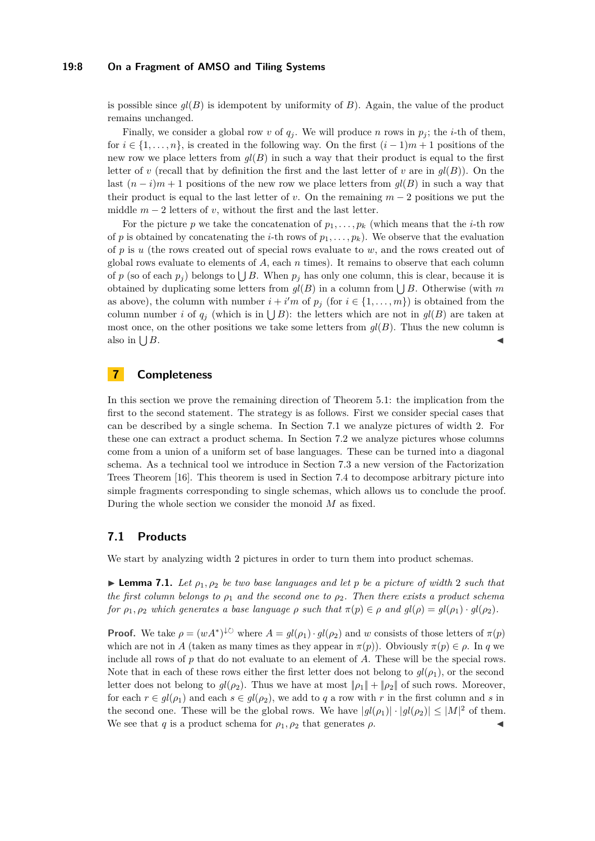#### **19:8 On a Fragment of AMSO and Tiling Systems**

is possible since  $gl(B)$  is idempotent by uniformity of  $B$ ). Again, the value of the product remains unchanged.

Finally, we consider a global row *v* of  $q<sub>j</sub>$ . We will produce *n* rows in  $p<sub>j</sub>$ ; the *i*-th of them, for  $i \in \{1, \ldots, n\}$ , is created in the following way. On the first  $(i-1)m+1$  positions of the new row we place letters from  $gl(B)$  in such a way that their product is equal to the first letter of *v* (recall that by definition the first and the last letter of *v* are in  $qI(B)$ ). On the last  $(n-i)m+1$  positions of the new row we place letters from  $gl(B)$  in such a way that their product is equal to the last letter of *v*. On the remaining  $m-2$  positions we put the middle  $m-2$  letters of *v*, without the first and the last letter.

For the picture *p* we take the concatenation of  $p_1, \ldots, p_k$  (which means that the *i*-th row of *p* is obtained by concatenating the *i*-th rows of  $p_1, \ldots, p_k$ ). We observe that the evaluation of *p* is *u* (the rows created out of special rows evaluate to *w*, and the rows created out of global rows evaluate to elements of *A*, each *n* times). It remains to observe that each column of *p* (so of each  $p_j$ ) belongs to  $\bigcup B$ . When  $p_j$  has only one column, this is clear, because it is obtained by duplicating some letters from  $gl(B)$  in a column from  $\bigcup B$ . Otherwise (with *m* as above), the column with number  $i + i'm$  of  $p_j$  (for  $i \in \{1, ..., m\}$ ) is obtained from the column number *i* of  $q_j$  (which is in  $\bigcup B$ ): the letters which are not in  $gl(B)$  are taken at most once, on the other positions we take some letters from  $gl(B)$ . Thus the new column is also in  $\bigcup B$ .  $B$ .

## **7 Completeness**

In this section we prove the remaining direction of Theorem [5.1:](#page-5-1) the implication from the first to the second statement. The strategy is as follows. First we consider special cases that can be described by a single schema. In Section [7.1](#page-7-0) we analyze pictures of width 2. For these one can extract a product schema. In Section [7.2](#page-8-0) we analyze pictures whose columns come from a union of a uniform set of base languages. These can be turned into a diagonal schema. As a technical tool we introduce in Section [7.3](#page-10-0) a new version of the Factorization Trees Theorem [\[16\]](#page-13-4). This theorem is used in Section [7.4](#page-11-0) to decompose arbitrary picture into simple fragments corresponding to single schemas, which allows us to conclude the proof. During the whole section we consider the monoid *M* as fixed.

## <span id="page-7-0"></span>**7.1 Products**

We start by analyzing width 2 pictures in order to turn them into product schemas.

<span id="page-7-1"></span>**I Lemma 7.1.** Let  $\rho_1, \rho_2$  be two base languages and let p be a picture of width 2 such that *the first column belongs to ρ*<sup>1</sup> *and the second one to ρ*2*. Then there exists a product schema for*  $\rho_1, \rho_2$  *which generates a base language*  $\rho$  *such that*  $\pi(p) \in \rho$  *and*  $gl(\rho) = gl(\rho_1) \cdot gl(\rho_2)$ *.* 

**Proof.** We take  $\rho = (wA^*)^{\downarrow \circlearrowright}$  where  $A = gl(\rho_1) \cdot gl(\rho_2)$  and *w* consists of those letters of  $\pi(p)$ which are not in *A* (taken as many times as they appear in  $\pi(p)$ ). Obviously  $\pi(p) \in \rho$ . In *q* we include all rows of *p* that do not evaluate to an element of *A*. These will be the special rows. Note that in each of these rows either the first letter does not belong to  $gl(\rho_1)$ , or the second letter does not belong to  $gl(\rho_2)$ . Thus we have at most  $\|\rho_1\| + \|\rho_2\|$  of such rows. Moreover, for each  $r \in gl(\rho_1)$  and each  $s \in gl(\rho_2)$ , we add to q a row with r in the first column and s in the second one. These will be the global rows. We have  $|gl(\rho_1)| \cdot |gl(\rho_2)| \leq |M|^2$  of them. We see that *q* is a product schema for  $\rho_1$ ,  $\rho_2$  that generates  $\rho$ .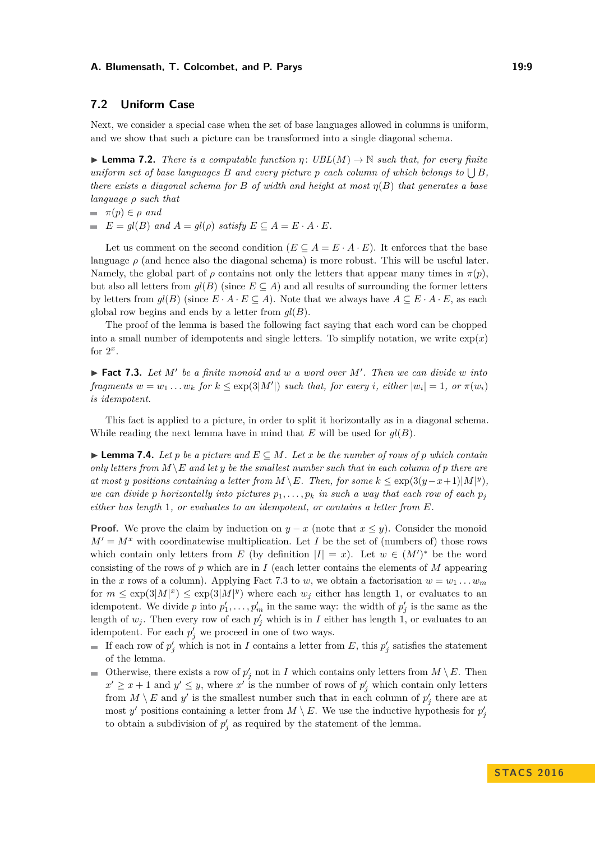#### **A. Blumensath, T. Colcombet, and P. Parys 19:9** 19:9

## <span id="page-8-0"></span>**7.2 Uniform Case**

Next, we consider a special case when the set of base languages allowed in columns is uniform, and we show that such a picture can be transformed into a single diagonal schema.

<span id="page-8-2"></span>**I Lemma 7.2.** *There is a computable function*  $\eta$ :  $UBL(M) \rightarrow \mathbb{N}$  such that, for every finite *uniform set of base languages*  $B$  *and every picture*  $p$  *each column of which belongs to*  $\bigcup B$ *, there exists a diagonal schema for B of width and height at most η*(*B*) *that generates a base language ρ such that*

- $\pi(p) \in \rho$  *and*
- $E = gl(B)$  *and*  $A = gl(\rho)$  *satisfy*  $E \subseteq A = E \cdot A \cdot E$ .

Let us comment on the second condition  $(E \subseteq A = E \cdot A \cdot E)$ . It enforces that the base language  $\rho$  (and hence also the diagonal schema) is more robust. This will be useful later. Namely, the global part of  $\rho$  contains not only the letters that appear many times in  $\pi(p)$ , but also all letters from  $gl(B)$  (since  $E \subseteq A$ ) and all results of surrounding the former letters by letters from  $gl(B)$  (since  $E \cdot A \cdot E \subseteq A$ ). Note that we always have  $A \subseteq E \cdot A \cdot E$ , as each global row begins and ends by a letter from *gl*(*B*).

The proof of the lemma is based the following fact saying that each word can be chopped into a small number of idempotents and single letters. To simplify notation, we write  $\exp(x)$ for  $2^x$ .

<span id="page-8-1"></span> $\blacktriangleright$  **Fact 7.3.** Let M' be a finite monoid and w a word over M'. Then we can divide w into *fragments*  $w = w_1 \ldots w_k$  *for*  $k \leq \exp(3|M'|)$  *such that, for every i, either*  $|w_i| = 1$ *, or*  $\pi(w_i)$ *is idempotent.*

This fact is applied to a picture, in order to split it horizontally as in a diagonal schema. While reading the next lemma have in mind that *E* will be used for *gl*(*B*).

<span id="page-8-3"></span>**► Lemma 7.4.** Let *p* be a picture and  $E \subseteq M$ . Let *x* be the number of rows of *p* which contain *only letters from*  $M \ E$  *and let y be the smallest number such that in each column of p there are at most y positions containing a letter from*  $M \setminus E$ *. Then, for some*  $k \leq \exp(3(y-x+1)|M|^y)$ *, we can divide p horizontally into pictures*  $p_1, \ldots, p_k$  *in such a way that each row of each*  $p_j$ *either has length* 1*, or evaluates to an idempotent, or contains a letter from E.*

**Proof.** We prove the claim by induction on  $y - x$  (note that  $x \leq y$ ). Consider the monoid  $M' = M^x$  with coordinatewise multiplication. Let *I* be the set of (numbers of) those rows which contain only letters from *E* (by definition  $|I| = x$ ). Let  $w \in (M')^*$  be the word consisting of the rows of *p* which are in *I* (each letter contains the elements of *M* appearing in the *x* rows of a column). Applying Fact [7.3](#page-8-1) to *w*, we obtain a factorisation  $w = w_1 \dots w_m$ for  $m \leq \exp(3|M|^x) \leq \exp(3|M|^y)$  where each  $w_j$  either has length 1, or evaluates to an idempotent. We divide *p* into  $p'_1, \ldots, p'_m$  in the same way: the width of  $p'_j$  is the same as the length of  $w_j$ . Then every row of each  $p'_j$  which is in *I* either has length 1, or evaluates to an idempotent. For each  $p'_{j}$  we proceed in one of two ways.

- If each row of  $p'_j$  which is not in *I* contains a letter from *E*, this  $p'_j$  satisfies the statement of the lemma.
- Otherwise, there exists a row of  $p'_j$  not in *I* which contains only letters from  $M \setminus E$ . Then  $x' \geq x + 1$  and  $y' \leq y$ , where  $x'$  is the number of rows of  $p'_j$  which contain only letters from  $M \setminus E$  and  $y'$  is the smallest number such that in each column of  $p'_{j}$  there are at most *y'* positions containing a letter from  $M \setminus E$ . We use the inductive hypothesis for  $p'_j$ to obtain a subdivision of  $p'_j$  as required by the statement of the lemma.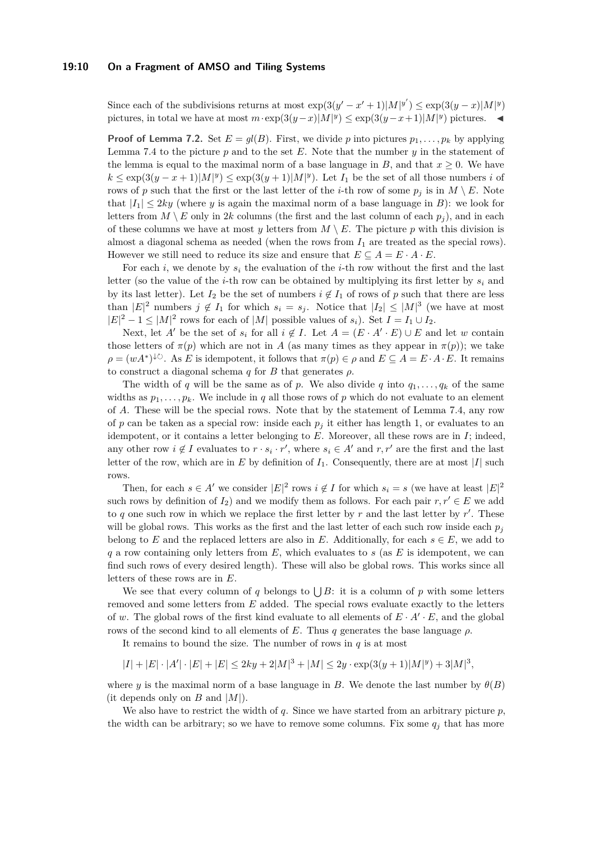#### **19:10 On a Fragment of AMSO and Tiling Systems**

Since each of the subdivisions returns at most  $\exp(3(y'-x'+1)|M|^{y'}) \leq \exp(3(y-x)|M|^y)$ pictures, in total we have at most  $m \cdot \exp(3(y-x)|M|^y) \leq \exp(3(y-x+1)|M|^y)$  pictures. ◄

**Proof of Lemma [7.2.](#page-8-2)** Set  $E = gl(B)$ . First, we divide *p* into pictures  $p_1, \ldots, p_k$  by applying Lemma [7.4](#page-8-3) to the picture  $p$  and to the set  $E$ . Note that the number  $y$  in the statement of the lemma is equal to the maximal norm of a base language in  $B$ , and that  $x \geq 0$ . We have  $k \leq \exp(3(y-x+1)|M|^y) \leq \exp(3(y+1)|M|^y)$ . Let  $I_1$  be the set of all those numbers *i* of rows of *p* such that the first or the last letter of the *i*-th row of some  $p_j$  is in  $M \setminus E$ . Note that  $|I_1| \leq 2ky$  (where *y* is again the maximal norm of a base language in *B*): we look for letters from  $M \setminus E$  only in 2*k* columns (the first and the last column of each  $p_i$ ), and in each of these columns we have at most *y* letters from  $M \setminus E$ . The picture *p* with this division is almost a diagonal schema as needed (when the rows from *I*<sup>1</sup> are treated as the special rows). However we still need to reduce its size and ensure that  $E \subseteq A = E \cdot A \cdot E$ .

For each *i*, we denote by *s<sup>i</sup>* the evaluation of the *i*-th row without the first and the last letter (so the value of the *i*-th row can be obtained by multiplying its first letter by *s<sup>i</sup>* and by its last letter). Let  $I_2$  be the set of numbers  $i \notin I_1$  of rows of p such that there are less than  $|E|^2$  numbers  $j \notin I_1$  for which  $s_i = s_j$ . Notice that  $|I_2| \leq |M|^3$  (we have at most  $|E|^2 - 1 \leq |M|^2$  rows for each of  $|M|$  possible values of  $s_i$ ). Set  $I = I_1 \cup I_2$ .

Next, let *A*<sup> $\prime$ </sup> be the set of *s*<sup>*i*</sup> for all  $i \notin I$ . Let  $A = (E \cdot A' \cdot E) \cup E$  and let *w* contain those letters of  $\pi(p)$  which are not in *A* (as many times as they appear in  $\pi(p)$ ); we take  $\rho = (wA^*)^{\downarrow \circlearrowright}$ . As *E* is idempotent, it follows that  $\pi(p) \in \rho$  and  $E \subseteq A = E \cdot A \cdot E$ . It remains to construct a diagonal schema  $q$  for  $B$  that generates  $\rho$ .

The width of *q* will be the same as of *p*. We also divide *q* into  $q_1, \ldots, q_k$  of the same widths as  $p_1, \ldots, p_k$ . We include in q all those rows of p which do not evaluate to an element of *A*. These will be the special rows. Note that by the statement of Lemma [7.4,](#page-8-3) any row of  $p$  can be taken as a special row: inside each  $p_j$  it either has length 1, or evaluates to an idempotent, or it contains a letter belonging to *E*. Moreover, all these rows are in *I*; indeed, any other row  $i \notin I$  evaluates to  $r \cdot s_i \cdot r'$ , where  $s_i \in A'$  and  $r, r'$  are the first and the last letter of the row, which are in  $E$  by definition of  $I_1$ . Consequently, there are at most  $|I|$  such rows.

Then, for each  $s \in A'$  we consider  $|E|^2$  rows  $i \notin I$  for which  $s_i = s$  (we have at least  $|E|^2$ such rows by definition of  $I_2$ ) and we modify them as follows. For each pair  $r, r' \in E$  we add to  $q$  one such row in which we replace the first letter by  $r$  and the last letter by  $r'$ . These will be global rows. This works as the first and the last letter of each such row inside each  $p_j$ belong to *E* and the replaced letters are also in *E*. Additionally, for each  $s \in E$ , we add to *q* a row containing only letters from *E*, which evaluates to *s* (as *E* is idempotent, we can find such rows of every desired length). These will also be global rows. This works since all letters of these rows are in *E*.

We see that every column of *q* belongs to  $\bigcup B$ : it is a column of *p* with some letters removed and some letters from *E* added. The special rows evaluate exactly to the letters of *w*. The global rows of the first kind evaluate to all elements of  $E \cdot A' \cdot E$ , and the global rows of the second kind to all elements of *E*. Thus *q* generates the base language *ρ*.

It remains to bound the size. The number of rows in  $q$  is at most

$$
|I|+|E|\cdot|A'|\cdot|E|+|E|\leq 2ky+2|M|^3+|M|\leq 2y\cdot\exp(3(y+1)|M|^y)+3|M|^3,
$$

where *y* is the maximal norm of a base language in *B*. We denote the last number by  $\theta(B)$ (it depends only on  $B$  and  $|M|$ ).

We also have to restrict the width of *q*. Since we have started from an arbitrary picture *p*, the width can be arbitrary; so we have to remove some columns. Fix some  $q_j$  that has more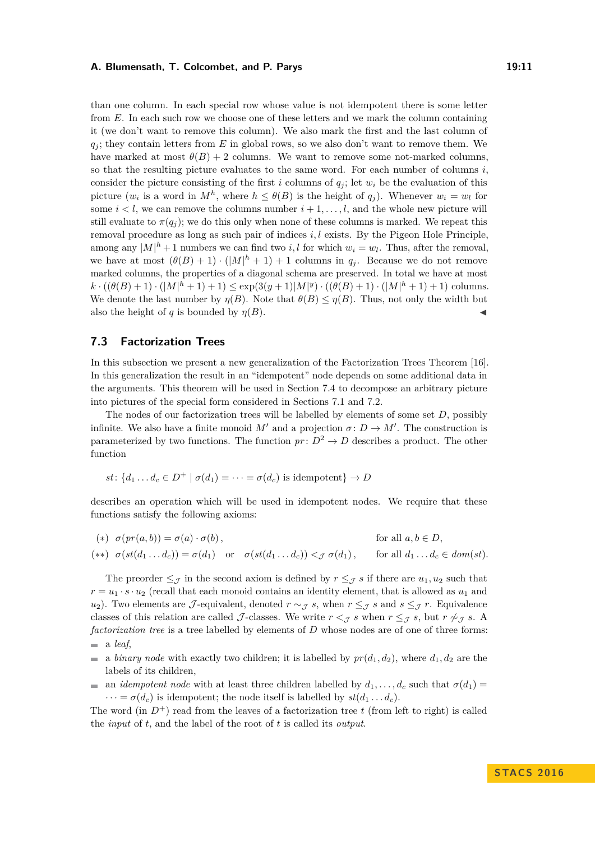#### **A. Blumensath, T. Colcombet, and P. Parys 19:11** 19:11

than one column. In each special row whose value is not idempotent there is some letter from *E*. In each such row we choose one of these letters and we mark the column containing it (we don't want to remove this column). We also mark the first and the last column of *q<sup>j</sup>* ; they contain letters from *E* in global rows, so we also don't want to remove them. We have marked at most  $\theta(B) + 2$  columns. We want to remove some not-marked columns, so that the resulting picture evaluates to the same word. For each number of columns *i*, consider the picture consisting of the first *i* columns of  $q_i$ ; let  $w_i$  be the evaluation of this picture  $(w_i$  is a word in  $M^h$ , where  $h \leq \theta(B)$  is the height of  $q_j$ ). Whenever  $w_i = w_l$  for some  $i < l$ , we can remove the columns number  $i + 1, \ldots, l$ , and the whole new picture will still evaluate to  $\pi(q_i)$ ; we do this only when none of these columns is marked. We repeat this removal procedure as long as such pair of indices *i, l* exists. By the Pigeon Hole Principle, among any  $|M|^h + 1$  numbers we can find two *i, l* for which  $w_i = w_l$ . Thus, after the removal, we have at most  $(\theta(B) + 1) \cdot (|M|^h + 1) + 1$  columns in  $q_j$ . Because we do not remove marked columns, the properties of a diagonal schema are preserved. In total we have at most  $k \cdot ((\theta(B) + 1) \cdot (|M|^h + 1) + 1) \leq \exp(3(y+1)|M|^y) \cdot ((\theta(B) + 1) \cdot (|M|^h + 1) + 1)$  columns. We denote the last number by  $\eta(B)$ . Note that  $\theta(B) \leq \eta(B)$ . Thus, not only the width but also the height of *q* is bounded by  $\eta(B)$ .

## <span id="page-10-0"></span>**7.3 Factorization Trees**

In this subsection we present a new generalization of the Factorization Trees Theorem [\[16\]](#page-13-4). In this generalization the result in an "idempotent" node depends on some additional data in the arguments. This theorem will be used in Section [7.4](#page-11-0) to decompose an arbitrary picture into pictures of the special form considered in Sections [7.1](#page-7-0) and [7.2.](#page-8-0)

The nodes of our factorization trees will be labelled by elements of some set *D*, possibly infinite. We also have a finite monoid  $M'$  and a projection  $\sigma: D \to M'$ . The construction is parameterized by two functions. The function  $pr: D^2 \to D$  describes a product. The other function

$$
st
$$
: { $d_1 \dots d_c \in D^+ \mid \sigma(d_1) = \dots = \sigma(d_c)$  is idempotent}  $\rightarrow D$ 

describes an operation which will be used in idempotent nodes. We require that these functions satisfy the following axioms:

$$
(*) \sigma(pr(a,b)) = \sigma(a) \cdot \sigma(b), \qquad \text{for all } a, b \in D,
$$
  

$$
(**) \sigma(st(d_1 \dots d_c)) = \sigma(d_1) \quad \text{or} \quad \sigma(st(d_1 \dots d_c)) <_{\mathcal{J}} \sigma(d_1), \qquad \text{for all } d_1 \dots d_c \in dom(st).
$$

The preorder  $\leq_{\mathcal{J}}$  in the second axiom is defined by  $r \leq_{\mathcal{J}} s$  if there are  $u_1, u_2$  such that  $r = u_1 \cdot s \cdot u_2$  (recall that each monoid contains an identity element, that is allowed as  $u_1$  and *u*<sub>2</sub>). Two elements are J-equivalent, denoted  $r \sim \tau s$ , when  $r \leq \tau s$  and  $s \leq \tau r$ . Equivalence classes of this relation are called J-classes. We write  $r <sub>J</sub> s$  when  $r \leq_{J} s$ , but  $r \not\sim_{J} s$ . A *factorization tree* is a tree labelled by elements of *D* whose nodes are of one of three forms: a *leaf*,

- $\mathbf{r}$ a *binary node* with exactly two children; it is labelled by  $pr(d_1, d_2)$ , where  $d_1, d_2$  are the labels of its children,
- an *idempotent node* with at least three children labelled by  $d_1, \ldots, d_c$  such that  $\sigma(d_1)$  $\cdots = \sigma(d_c)$  is idempotent; the node itself is labelled by  $st(d_1 \ldots d_c)$ .

The word (in  $D^+$ ) read from the leaves of a factorization tree t (from left to right) is called the *input* of *t*, and the label of the root of *t* is called its *output*.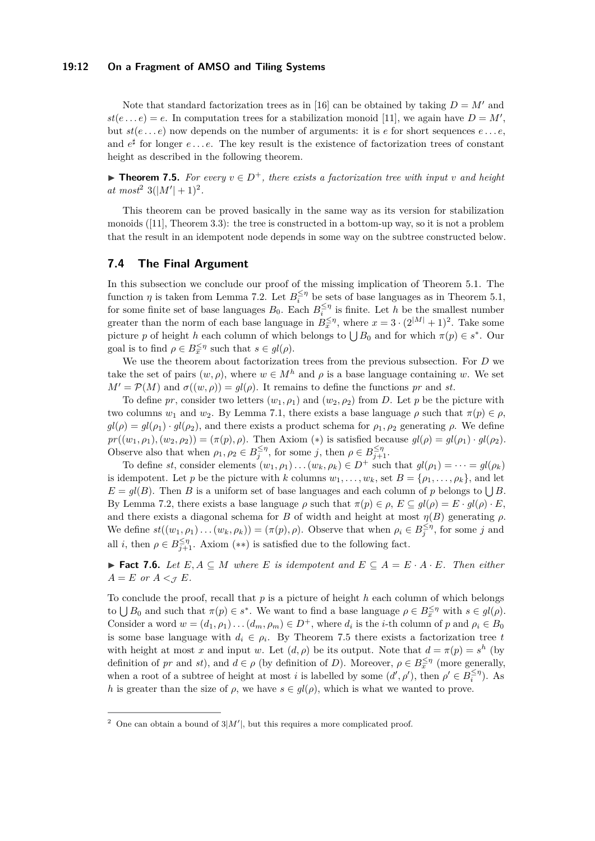#### **19:12 On a Fragment of AMSO and Tiling Systems**

Note that standard factorization trees as in [\[16\]](#page-13-4) can be obtained by taking  $D = M'$  and  $st(e...e) = e$ . In computation trees for a stabilization monoid [\[11\]](#page-12-12), we again have  $D = M'$ , but *st*(*e . . . e*) now depends on the number of arguments: it is *e* for short sequences *e . . . e*, and  $e^{\sharp}$  for longer  $e \ldots e$ . The key result is the existence of factorization trees of constant height as described in the following theorem.

<span id="page-11-2"></span>**► Theorem 7.5.** For every  $v \in D^+$ , there exists a factorization tree with input *v* and height  $at \; most^2 \; 3(|M'|+1)^2.$  $at \; most^2 \; 3(|M'|+1)^2.$  $at \; most^2 \; 3(|M'|+1)^2.$ 

This theorem can be proved basically in the same way as its version for stabilization monoids  $([11],$  $([11],$  $([11],$  Theorem 3.3): the tree is constructed in a bottom-up way, so it is not a problem that the result in an idempotent node depends in some way on the subtree constructed below.

## <span id="page-11-0"></span>**7.4 The Final Argument**

In this subsection we conclude our proof of the missing implication of Theorem [5.1.](#page-5-1) The function *η* is taken from Lemma [7.2.](#page-8-2) Let  $B_i^{\leq \eta}$  be sets of base languages as in Theorem [5.1,](#page-5-1) for some finite set of base languages  $B_0$ . Each  $B_i^{\leq \eta}$  is finite. Let *h* be the smallest number greater than the norm of each base language in  $B_{\overline{x}}^{\leq \eta}$ , where  $x = 3 \cdot (2^{|M|} + 1)^2$ . Take some picture *p* of height *h* each column of which belongs to  $\bigcup B_0$  and for which  $\pi(p) \in s^*$ . Our goal is to find  $\rho \in B_x^{\leq \eta}$  such that  $s \in gl(\rho)$ .

We use the theorem about factorization trees from the previous subsection. For *D* we take the set of pairs  $(w, \rho)$ , where  $w \in M^h$  and  $\rho$  is a base language containing w. We set  $M' = \mathcal{P}(M)$  and  $\sigma((w, \rho)) = gl(\rho)$ . It remains to define the functions *pr* and *st*.

To define *pr*, consider two letters  $(w_1, \rho_1)$  and  $(w_2, \rho_2)$  from *D*. Let *p* be the picture with two columns  $w_1$  and  $w_2$ . By Lemma [7.1,](#page-7-1) there exists a base language  $\rho$  such that  $\pi(p) \in \rho$ ,  $gl(\rho) = gl(\rho_1) \cdot gl(\rho_2)$ , and there exists a product schema for  $\rho_1, \rho_2$  generating  $\rho$ . We define  $pr((w_1, \rho_1), (w_2, \rho_2)) = (\pi(p), \rho)$ . Then Axiom (\*) is satisfied because  $gl(\rho) = gl(\rho_1) \cdot gl(\rho_2)$ . Observe also that when  $\rho_1, \rho_2 \in B^{\leq \eta}_{j}$ , for some *j*, then  $\rho \in B^{\leq \eta}_{j+1}$ .

To define *st*, consider elements  $(w_1, \rho_1) \dots (w_k, \rho_k) \in D^+$  such that  $gl(\rho_1) = \dots = gl(\rho_k)$ is idempotent. Let *p* be the picture with *k* columns  $w_1, \ldots, w_k$ , set  $B = \{\rho_1, \ldots, \rho_k\}$ , and let  $E = gl(B)$ . Then *B* is a uniform set of base languages and each column of *p* belongs to  $\bigcup B$ . By Lemma [7.2,](#page-8-2) there exists a base language  $\rho$  such that  $\pi(p) \in \rho$ ,  $E \subseteq gl(\rho) = E \cdot gl(\rho) \cdot E$ , and there exists a diagonal schema for *B* of width and height at most  $\eta(B)$  generating  $\rho$ . We define  $st((w_1, \rho_1) \dots (w_k, \rho_k)) = (\pi(p), \rho)$ . Observe that when  $\rho_i \in B_j^{\leq \eta}$ , for some *j* and all *i*, then  $\rho \in B_{j+1}^{\leq \eta}$ . Axiom (\*\*) is satisfied due to the following fact.

**► Fact 7.6.** Let  $E, A \subseteq M$  where  $E$  is idempotent and  $E \subseteq A = E \cdot A \cdot E$ . Then either  $A = E$  *or*  $A <_{\mathcal{J}} E$ *.* 

To conclude the proof, recall that *p* is a picture of height *h* each column of which belongs to  $\bigcup B_0$  and such that  $\pi(p) \in s^*$ . We want to find a base language  $\rho \in B_x^{\leq \eta}$  with  $s \in gl(\rho)$ . Consider a word  $w = (d_1, \rho_1) \dots (d_m, \rho_m) \in D^+$ , where  $d_i$  is the *i*-th column of  $p$  and  $\rho_i \in B_0$ is some base language with  $d_i \in \rho_i$ . By Theorem [7.5](#page-11-2) there exists a factorization tree *t* with height at most *x* and input *w*. Let  $(d, \rho)$  be its output. Note that  $d = \pi(p) = s^h$  (by definition of *pr* and *st*), and  $d \in \rho$  (by definition of *D*). Moreover,  $\rho \in B_x^{\leq \eta}$  (more generally, when a root of a subtree of height at most *i* is labelled by some  $(d', \rho')$ , then  $\rho' \in B_i^{\leq \eta}$ . As *h* is greater than the size of  $\rho$ , we have  $s \in gl(\rho)$ , which is what we wanted to prove.

<span id="page-11-1"></span><sup>&</sup>lt;sup>2</sup> One can obtain a bound of  $3|M'|$ , but this requires a more complicated proof.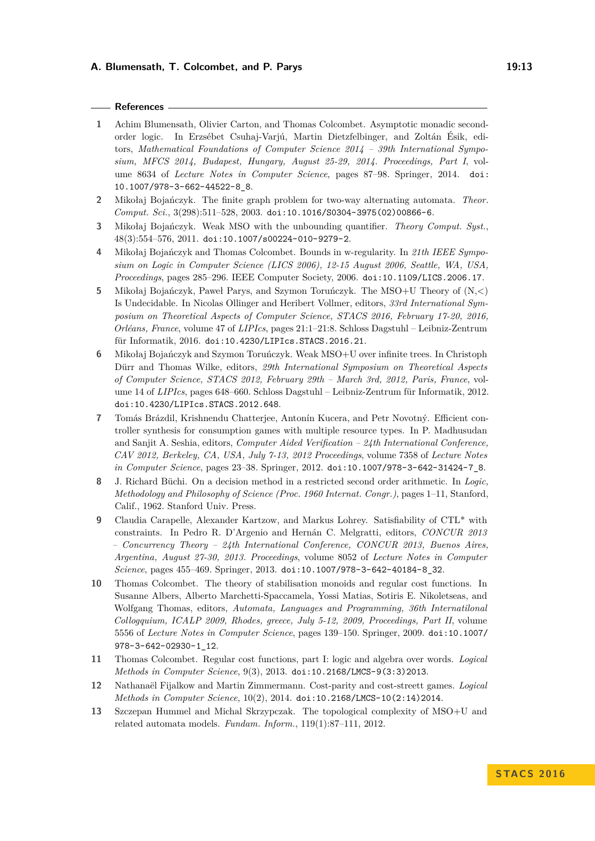#### **A. Blumensath, T. Colcombet, and P. Parys 19:13** 19:13

#### **References**

- <span id="page-12-1"></span>**1** Achim Blumensath, Olivier Carton, and Thomas Colcombet. Asymptotic monadic secondorder logic. In Erzsébet Csuhaj-Varjú, Martin Dietzfelbinger, and Zoltán Ésik, editors, *Mathematical Foundations of Computer Science 2014 – 39th International Symposium, MFCS 2014, Budapest, Hungary, August 25-29, 2014. Proceedings, Part I*, volume 8634 of *Lecture Notes in Computer Science*, pages 87–98. Springer, 2014. [doi:](http://dx.doi.org/10.1007/978-3-662-44522-8_8) [10.1007/978-3-662-44522-8\\_8](http://dx.doi.org/10.1007/978-3-662-44522-8_8).
- <span id="page-12-3"></span>**2** Mikołaj Bojańczyk. The finite graph problem for two-way alternating automata. *Theor. Comput. Sci.*, 3(298):511–528, 2003. [doi:10.1016/S0304-3975\(02\)00866-6](http://dx.doi.org/10.1016/S0304-3975(02)00866-6).
- <span id="page-12-6"></span>**3** Mikołaj Bojańczyk. Weak MSO with the unbounding quantifier. *Theory Comput. Syst.*, 48(3):554–576, 2011. [doi:10.1007/s00224-010-9279-2](http://dx.doi.org/10.1007/s00224-010-9279-2).
- <span id="page-12-4"></span>**4** Mikołaj Bojańczyk and Thomas Colcombet. Bounds in w-regularity. In *21th IEEE Symposium on Logic in Computer Science (LICS 2006), 12-15 August 2006, Seattle, WA, USA, Proceedings*, pages 285–296. IEEE Computer Society, 2006. [doi:10.1109/LICS.2006.17](http://dx.doi.org/10.1109/LICS.2006.17).
- <span id="page-12-2"></span>**5** Mikołaj Bojańczyk, Paweł Parys, and Szymon Toruńczyk. The MSO+U Theory of (N,*<*) Is Undecidable. In Nicolas Ollinger and Heribert Vollmer, editors, *33rd International Symposium on Theoretical Aspects of Computer Science, STACS 2016, February 17-20, 2016, Orléans, France*, volume 47 of *LIPIcs*, pages 21:1–21:8. Schloss Dagstuhl – Leibniz-Zentrum für Informatik, 2016. [doi:10.4230/LIPIcs.STACS.2016.21](http://dx.doi.org/10.4230/LIPIcs.STACS.2016.21).
- <span id="page-12-7"></span>**6** Mikołaj Bojańczyk and Szymon Toruńczyk. Weak MSO+U over infinite trees. In Christoph Dürr and Thomas Wilke, editors, *29th International Symposium on Theoretical Aspects of Computer Science, STACS 2012, February 29th – March 3rd, 2012, Paris, France*, volume 14 of *LIPIcs*, pages 648–660. Schloss Dagstuhl – Leibniz-Zentrum für Informatik, 2012. [doi:10.4230/LIPIcs.STACS.2012.648](http://dx.doi.org/10.4230/LIPIcs.STACS.2012.648).
- <span id="page-12-10"></span>**7** Tomás Brázdil, Krishnendu Chatterjee, Antonín Kucera, and Petr Novotný. Efficient controller synthesis for consumption games with multiple resource types. In P. Madhusudan and Sanjit A. Seshia, editors, *Computer Aided Verification – 24th International Conference, CAV 2012, Berkeley, CA, USA, July 7-13, 2012 Proceedings*, volume 7358 of *Lecture Notes in Computer Science*, pages 23–38. Springer, 2012. [doi:10.1007/978-3-642-31424-7\\_8](http://dx.doi.org/10.1007/978-3-642-31424-7_8).
- <span id="page-12-0"></span>**8** J. Richard Büchi. On a decision method in a restricted second order arithmetic. In *Logic, Methodology and Philosophy of Science (Proc. 1960 Internat. Congr.)*, pages 1–11, Stanford, Calif., 1962. Stanford Univ. Press.
- <span id="page-12-8"></span>**9** Claudia Carapelle, Alexander Kartzow, and Markus Lohrey. Satisfiability of CTL\* with constraints. In Pedro R. D'Argenio and Hernán C. Melgratti, editors, *CONCUR 2013 – Concurrency Theory – 24th International Conference, CONCUR 2013, Buenos Aires, Argentina, August 27-30, 2013. Proceedings*, volume 8052 of *Lecture Notes in Computer Science*, pages 455–469. Springer, 2013. [doi:10.1007/978-3-642-40184-8\\_32](http://dx.doi.org/10.1007/978-3-642-40184-8_32).
- <span id="page-12-5"></span>**10** Thomas Colcombet. The theory of stabilisation monoids and regular cost functions. In Susanne Albers, Alberto Marchetti-Spaccamela, Yossi Matias, Sotiris E. Nikoletseas, and Wolfgang Thomas, editors, *Automata, Languages and Programming, 36th Internatilonal Collogquium, ICALP 2009, Rhodes, greece, July 5-12, 2009, Proceedings, Part II*, volume 5556 of *Lecture Notes in Computer Science*, pages 139–150. Springer, 2009. [doi:10.1007/](http://dx.doi.org/10.1007/978-3-642-02930-1_12) [978-3-642-02930-1\\_12](http://dx.doi.org/10.1007/978-3-642-02930-1_12).
- <span id="page-12-12"></span>**11** Thomas Colcombet. Regular cost functions, part I: logic and algebra over words. *Logical Methods in Computer Science*, 9(3), 2013. [doi:10.2168/LMCS-9\(3:3\)2013](http://dx.doi.org/10.2168/LMCS-9(3:3)2013).
- <span id="page-12-9"></span>**12** Nathanaël Fijalkow and Martin Zimmermann. Cost-parity and cost-streett games. *Logical Methods in Computer Science*, 10(2), 2014. [doi:10.2168/LMCS-10\(2:14\)2014](http://dx.doi.org/10.2168/LMCS-10(2:14)2014).
- <span id="page-12-11"></span>**13** Szczepan Hummel and Michal Skrzypczak. The topological complexity of MSO+U and related automata models. *Fundam. Inform.*, 119(1):87–111, 2012.